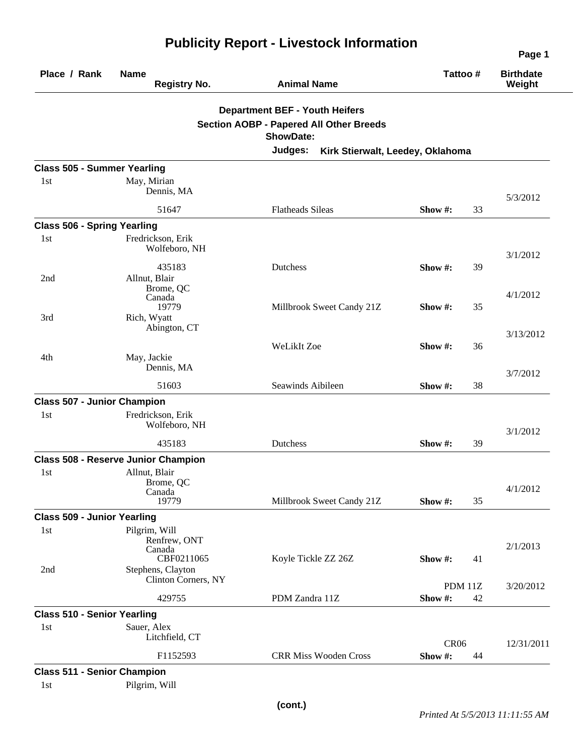| Place / Rank                       | <b>Name</b><br><b>Registry No.</b>                    | <b>Animal Name</b>                             | Tattoo #                 | <b>Birthdate</b><br>Weight |
|------------------------------------|-------------------------------------------------------|------------------------------------------------|--------------------------|----------------------------|
|                                    |                                                       | <b>Department BEF - Youth Heifers</b>          |                          |                            |
|                                    |                                                       | <b>Section AOBP - Papered All Other Breeds</b> |                          |                            |
|                                    |                                                       | <b>ShowDate:</b>                               |                          |                            |
|                                    |                                                       | Judges:<br>Kirk Stierwalt, Leedey, Oklahoma    |                          |                            |
| <b>Class 505 - Summer Yearling</b> |                                                       |                                                |                          |                            |
| 1st                                | May, Mirian<br>Dennis, MA                             |                                                |                          | 5/3/2012                   |
|                                    | 51647                                                 | <b>Flatheads Sileas</b>                        | Show #:<br>33            |                            |
| <b>Class 506 - Spring Yearling</b> |                                                       |                                                |                          |                            |
| 1 <sub>st</sub>                    | Fredrickson, Erik<br>Wolfeboro, NH                    |                                                |                          | 3/1/2012                   |
| 2nd                                | 435183<br>Allnut, Blair                               | <b>Dutchess</b>                                | Show #:<br>39            |                            |
|                                    | Brome, QC<br>Canada<br>19779                          | Millbrook Sweet Candy 21Z                      | Show #:<br>35            | 4/1/2012                   |
| 3rd                                | Rich, Wyatt<br>Abington, CT                           |                                                |                          | 3/13/2012                  |
|                                    |                                                       | WeLikIt Zoe                                    | Show #:<br>36            |                            |
| 4th                                | May, Jackie<br>Dennis, MA                             |                                                |                          | 3/7/2012                   |
|                                    | 51603                                                 | Seawinds Aibileen                              | 38<br>Show #:            |                            |
| <b>Class 507 - Junior Champion</b> |                                                       |                                                |                          |                            |
| 1st                                | Fredrickson, Erik<br>Wolfeboro, NH                    |                                                |                          | 3/1/2012                   |
|                                    | 435183                                                | Dutchess                                       | Show $#$ :<br>39         |                            |
|                                    | <b>Class 508 - Reserve Junior Champion</b>            |                                                |                          |                            |
| 1st                                | Allnut, Blair<br>Brome, QC                            |                                                |                          | 4/1/2012                   |
|                                    | Canada<br>19779                                       | Millbrook Sweet Candy 21Z                      | Show #:<br>35            |                            |
| <b>Class 509 - Junior Yearling</b> |                                                       |                                                |                          |                            |
| 1st                                | Pilgrim, Will<br>Renfrew, ONT<br>Canada<br>CBF0211065 | Koyle Tickle ZZ 26Z                            | Show #:<br>41            | 2/1/2013                   |
| 2nd                                | Stephens, Clayton<br>Clinton Corners, NY              |                                                |                          |                            |
|                                    | 429755                                                | PDM Zandra 11Z                                 | PDM 11Z<br>Show #:<br>42 | 3/20/2012                  |
| <b>Class 510 - Senior Yearling</b> |                                                       |                                                |                          |                            |
| 1st                                | Sauer, Alex<br>Litchfield, CT                         |                                                | <b>CR06</b>              | 12/31/2011                 |
|                                    | F1152593                                              | <b>CRR Miss Wooden Cross</b>                   | Show #:<br>44            |                            |
| <b>Class 511 - Senior Champion</b> |                                                       |                                                |                          |                            |
| 1st                                | Pilgrim, Will                                         |                                                |                          |                            |

## **Publicity Report - Livestock Information**

**Page 1**